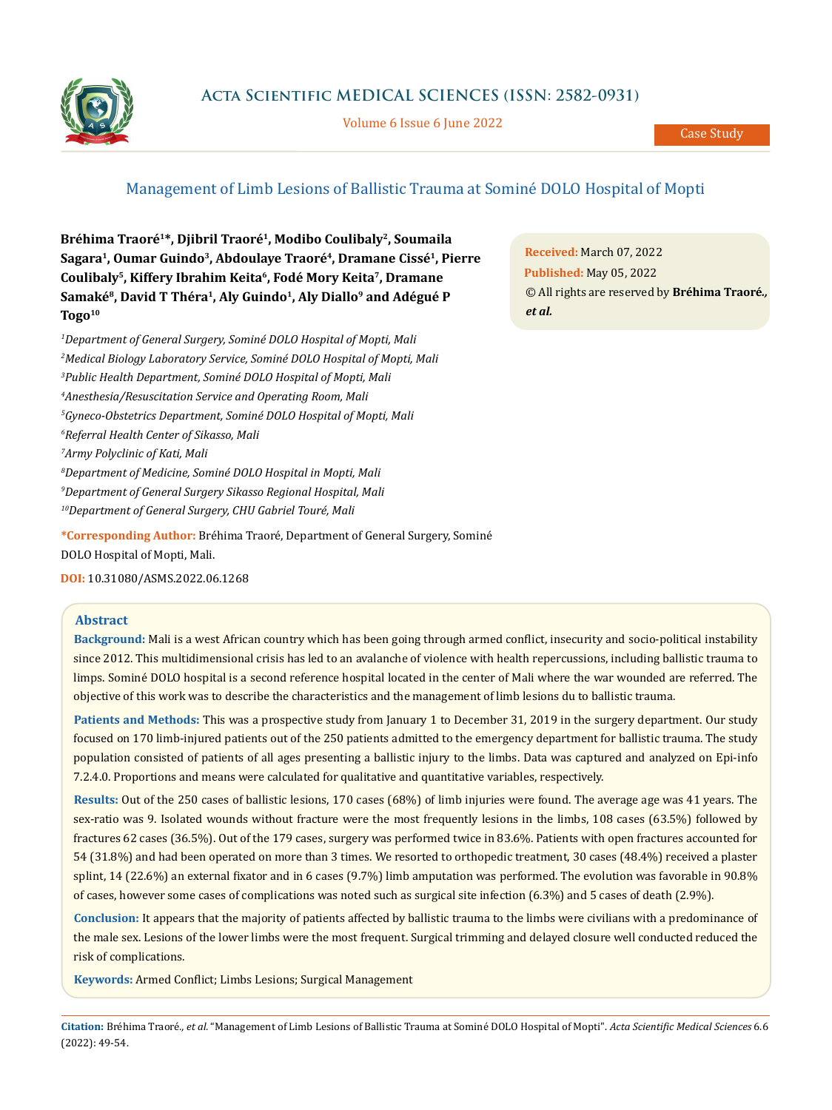

# **Acta Scientific MEDICAL SCIENCES (ISSN: 2582-0931)**

Volume 6 Issue 6 June 2022

# Management of Limb Lesions of Ballistic Trauma at Sominé DOLO Hospital of Mopti

Bréhima Traoré<sup>1\*</sup>, Djibril Traoré<sup>1</sup>, Modibo Coulibaly<sup>2</sup>, Soumaila **Sagara1, Oumar Guindo3, Abdoulaye Traoré4, Dramane Cissé1, Pierre Coulibaly5, Kiffery Ibrahim Keita6, Fodé Mory Keita7, Dramane** Samaké<sup>8</sup>, David T Théra<sup>1</sup>, Aly Guindo<sup>1</sup>, Aly Diallo<sup>9</sup> and Adégué P **Togo10**

 *Department of General Surgery, Sominé DOLO Hospital of Mopti, Mali Medical Biology Laboratory Service, Sominé DOLO Hospital of Mopti, Mali Public Health Department, Sominé DOLO Hospital of Mopti, Mali Anesthesia/Resuscitation Service and Operating Room, Mali Gyneco-Obstetrics Department, Sominé DOLO Hospital of Mopti, Mali Referral Health Center of Sikasso, Mali Army Polyclinic of Kati, Mali Department of Medicine, Sominé DOLO Hospital in Mopti, Mali Department of General Surgery Sikasso Regional Hospital, Mali 10Department of General Surgery, CHU Gabriel Touré, Mali*

**\*Corresponding Author:** Bréhima Traoré, Department of General Surgery, Sominé DOLO Hospital of Mopti, Mali.

**DOI:** [10.31080/ASMS.2022.06.1268](http://actascientific.com/ASMS/pdf/ASMS-06-1268.pdf)

### **Abstract**

**Background:** Mali is a west African country which has been going through armed conflict, insecurity and socio-political instability since 2012. This multidimensional crisis has led to an avalanche of violence with health repercussions, including ballistic trauma to limps. Sominé DOLO hospital is a second reference hospital located in the center of Mali where the war wounded are referred. The objective of this work was to describe the characteristics and the management of limb lesions du to ballistic trauma.

**Patients and Methods:** This was a prospective study from January 1 to December 31, 2019 in the surgery department. Our study focused on 170 limb-injured patients out of the 250 patients admitted to the emergency department for ballistic trauma. The study population consisted of patients of all ages presenting a ballistic injury to the limbs. Data was captured and analyzed on Epi-info 7.2.4.0. Proportions and means were calculated for qualitative and quantitative variables, respectively.

**Results:** Out of the 250 cases of ballistic lesions, 170 cases (68%) of limb injuries were found. The average age was 41 years. The sex-ratio was 9. Isolated wounds without fracture were the most frequently lesions in the limbs, 108 cases (63.5%) followed by fractures 62 cases (36.5%). Out of the 179 cases, surgery was performed twice in 83.6%. Patients with open fractures accounted for 54 (31.8%) and had been operated on more than 3 times. We resorted to orthopedic treatment, 30 cases (48.4%) received a plaster splint, 14 (22.6%) an external fixator and in 6 cases (9.7%) limb amputation was performed. The evolution was favorable in 90.8% of cases, however some cases of complications was noted such as surgical site infection (6.3%) and 5 cases of death (2.9%).

**Conclusion:** It appears that the majority of patients affected by ballistic trauma to the limbs were civilians with a predominance of the male sex. Lesions of the lower limbs were the most frequent. Surgical trimming and delayed closure well conducted reduced the risk of complications.

**Keywords:** Armed Conflict; Limbs Lesions; Surgical Management

**Citation:** Bréhima Traoré*., et al.* "Management of Limb Lesions of Ballistic Trauma at Sominé DOLO Hospital of Mopti". *Acta Scientific Medical Sciences* 6.6 (2022): 49-54.

**Received:** March 07, 2022 **Published:** May 05, 2022 © All rights are reserved by **Bréhima Traoré***., et al.*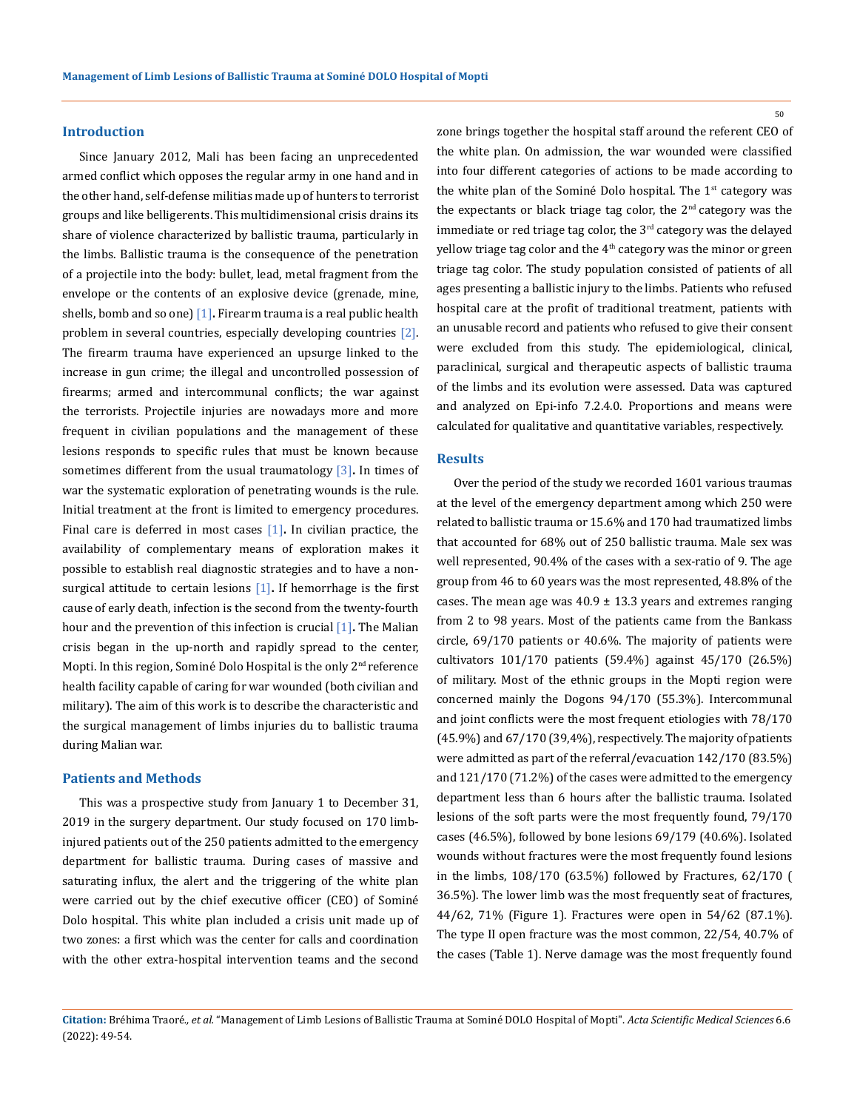#### **Introduction**

Since January 2012, Mali has been facing an unprecedented armed conflict which opposes the regular army in one hand and in the other hand, self-defense militias made up of hunters to terrorist groups and like belligerents. This multidimensional crisis drains its share of violence characterized by ballistic trauma, particularly in the limbs. Ballistic trauma is the consequence of the penetration of a projectile into the body: bullet, lead, metal fragment from the envelope or the contents of an explosive device (grenade, mine, shells, bomb and so one) [1]**.** Firearm trauma is a real public health problem in several countries, especially developing countries [2]. The firearm trauma have experienced an upsurge linked to the increase in gun crime; the illegal and uncontrolled possession of firearms; armed and intercommunal conflicts; the war against the terrorists. Projectile injuries are nowadays more and more frequent in civilian populations and the management of these lesions responds to specific rules that must be known because sometimes different from the usual traumatology [3]**.** In times of war the systematic exploration of penetrating wounds is the rule. Initial treatment at the front is limited to emergency procedures. Final care is deferred in most cases [1]**.** In civilian practice, the availability of complementary means of exploration makes it possible to establish real diagnostic strategies and to have a nonsurgical attitude to certain lesions [1]**.** If hemorrhage is the first cause of early death, infection is the second from the twenty-fourth hour and the prevention of this infection is crucial [1]**.** The Malian crisis began in the up-north and rapidly spread to the center, Mopti. In this region, Sominé Dolo Hospital is the only  $2<sup>nd</sup>$  reference health facility capable of caring for war wounded (both civilian and military). The aim of this work is to describe the characteristic and the surgical management of limbs injuries du to ballistic trauma during Malian war.

### **Patients and Methods**

This was a prospective study from January 1 to December 31, 2019 in the surgery department. Our study focused on 170 limbinjured patients out of the 250 patients admitted to the emergency department for ballistic trauma. During cases of massive and saturating influx, the alert and the triggering of the white plan were carried out by the chief executive officer (CEO) of Sominé Dolo hospital. This white plan included a crisis unit made up of two zones: a first which was the center for calls and coordination with the other extra-hospital intervention teams and the second zone brings together the hospital staff around the referent CEO of the white plan. On admission, the war wounded were classified into four different categories of actions to be made according to the white plan of the Sominé Dolo hospital. The  $1<sup>st</sup>$  category was the expectants or black triage tag color, the  $2<sup>nd</sup>$  category was the immediate or red triage tag color, the 3<sup>rd</sup> category was the delayed yellow triage tag color and the 4<sup>th</sup> category was the minor or green triage tag color. The study population consisted of patients of all ages presenting a ballistic injury to the limbs. Patients who refused hospital care at the profit of traditional treatment, patients with an unusable record and patients who refused to give their consent were excluded from this study. The epidemiological, clinical, paraclinical, surgical and therapeutic aspects of ballistic trauma of the limbs and its evolution were assessed. Data was captured and analyzed on Epi-info 7.2.4.0. Proportions and means were calculated for qualitative and quantitative variables, respectively.

#### **Results**

Over the period of the study we recorded 1601 various traumas at the level of the emergency department among which 250 were related to ballistic trauma or 15.6% and 170 had traumatized limbs that accounted for 68% out of 250 ballistic trauma. Male sex was well represented, 90.4% of the cases with a sex-ratio of 9. The age group from 46 to 60 years was the most represented, 48.8% of the cases. The mean age was  $40.9 \pm 13.3$  years and extremes ranging from 2 to 98 years. Most of the patients came from the Bankass circle, 69/170 patients or 40.6%. The majority of patients were cultivators 101/170 patients (59.4%) against 45/170 (26.5%) of military. Most of the ethnic groups in the Mopti region were concerned mainly the Dogons 94/170 (55.3%). Intercommunal and joint conflicts were the most frequent etiologies with 78/170 (45.9%) and 67/170 (39,4%), respectively. The majority of patients were admitted as part of the referral/evacuation 142/170 (83.5%) and 121/170 (71.2%) of the cases were admitted to the emergency department less than 6 hours after the ballistic trauma. Isolated lesions of the soft parts were the most frequently found, 79/170 cases (46.5%), followed by bone lesions 69/179 (40.6%). Isolated wounds without fractures were the most frequently found lesions in the limbs, 108/170 (63.5%) followed by Fractures, 62/170 ( 36.5%). The lower limb was the most frequently seat of fractures, 44/62, 71% (Figure 1). Fractures were open in 54/62 (87.1%). The type II open fracture was the most common, 22/54, 40.7% of the cases (Table 1). Nerve damage was the most frequently found

50

**Citation:** Bréhima Traoré*., et al.* "Management of Limb Lesions of Ballistic Trauma at Sominé DOLO Hospital of Mopti". *Acta Scientific Medical Sciences* 6.6 (2022): 49-54.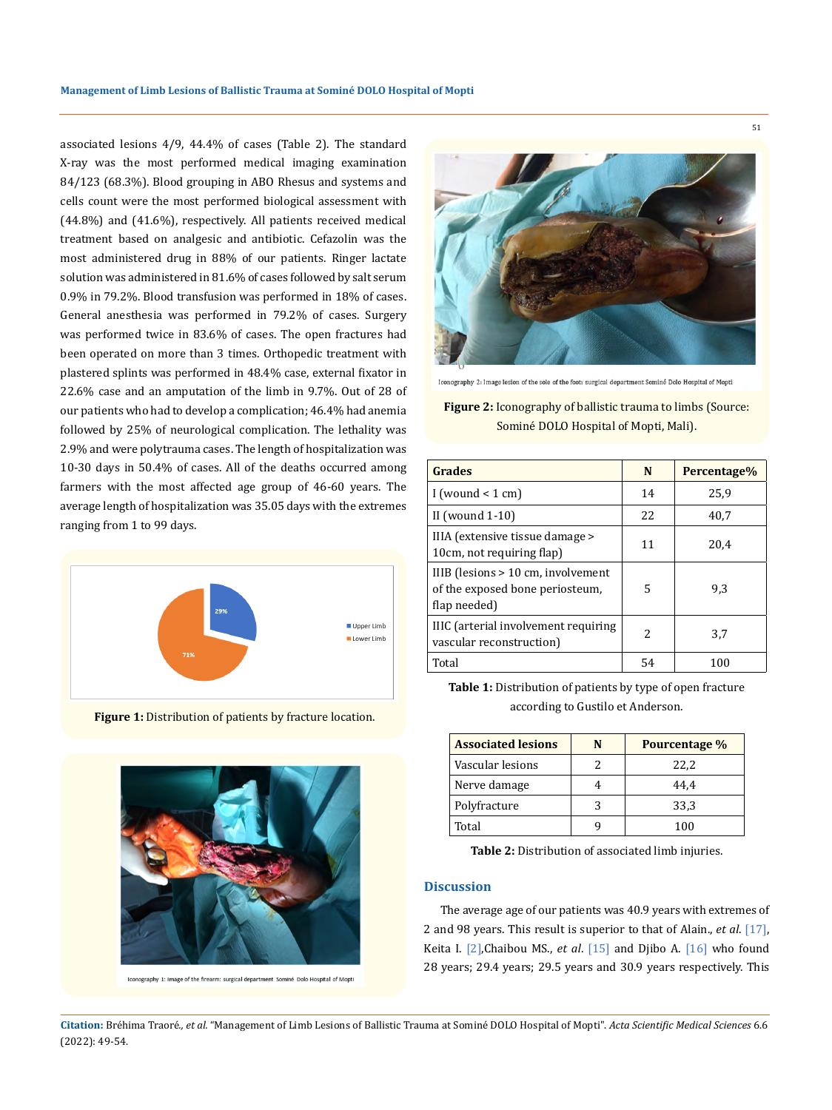associated lesions 4/9, 44.4% of cases (Table 2). The standard X-ray was the most performed medical imaging examination 84/123 (68.3%). Blood grouping in ABO Rhesus and systems and cells count were the most performed biological assessment with (44.8%) and (41.6%), respectively. All patients received medical treatment based on analgesic and antibiotic. Cefazolin was the most administered drug in 88% of our patients. Ringer lactate solution was administered in 81.6% of cases followed by salt serum 0.9% in 79.2%. Blood transfusion was performed in 18% of cases. General anesthesia was performed in 79.2% of cases. Surgery was performed twice in 83.6% of cases. The open fractures had been operated on more than 3 times. Orthopedic treatment with plastered splints was performed in 48.4% case, external fixator in 22.6% case and an amputation of the limb in 9.7%. Out of 28 of our patients who had to develop a complication; 46.4% had anemia followed by 25% of neurological complication. The lethality was 2.9% and were polytrauma cases. The length of hospitalization was 10-30 days in 50.4% of cases. All of the deaths occurred among farmers with the most affected age group of 46-60 years. The average length of hospitalization was 35.05 days with the extremes ranging from 1 to 99 days.



**Figure 1:** Distribution of patients by fracture location.



Iconography 1: Image of the firearm: surgical department Sominé Dolo Hospital of Mopti



Iconography 2: Image lesion of the sole of the foot: surgical department Sominé Dolo Hospital of Mopti

## **Figure 2:** Iconography of ballistic trauma to limbs (Source: Sominé DOLO Hospital of Mopti, Mali).

| Grades                                                                                | N  | Percentage% |
|---------------------------------------------------------------------------------------|----|-------------|
| I (wound $\leq 1$ cm)                                                                 | 14 | 25.9        |
| II (wound $1-10$ )                                                                    | 22 | 40.7        |
| IIIA (extensive tissue damage ><br>10cm, not requiring flap)                          | 11 | 20.4        |
| IIIB (lesions > 10 cm, involvement<br>of the exposed bone periosteum,<br>flap needed) | 5  | 9.3         |
| IIIC (arterial involvement requiring<br>vascular reconstruction)                      | 2  | 3.7         |
| Total                                                                                 | 54 | 100         |

**Table 1:** Distribution of patients by type of open fracture according to Gustilo et Anderson.

| <b>Associated lesions</b> | N | Pourcentage % |
|---------------------------|---|---------------|
| Vascular lesions          |   | 22,2          |
| Nerve damage              |   | 44.4          |
| Polyfracture              | 3 | 33,3          |
| Total                     |   | 100           |

**Table 2:** Distribution of associated limb injuries.

### **Discussion**

The average age of our patients was 40.9 years with extremes of 2 and 98 years. This result is superior to that of Alain., *et al*. [17], Keita I. [2],Chaibou MS., *et al*. [15] and Djibo A. [16] who found 28 years; 29.4 years; 29.5 years and 30.9 years respectively. This

**Citation:** Bréhima Traoré*., et al.* "Management of Limb Lesions of Ballistic Trauma at Sominé DOLO Hospital of Mopti". *Acta Scientific Medical Sciences* 6.6 (2022): 49-54.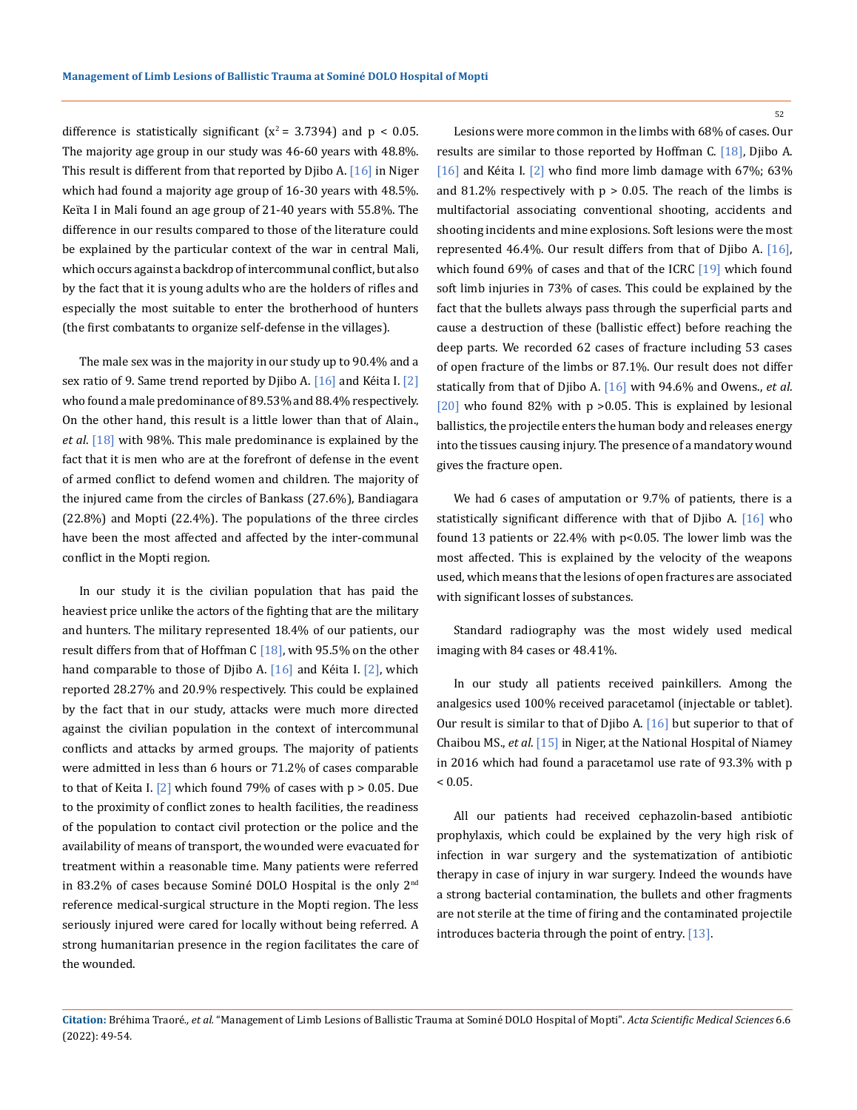difference is statistically significant  $(x^2 = 3.7394)$  and  $p < 0.05$ . The majority age group in our study was 46-60 years with 48.8%. This result is different from that reported by Djibo A. [16] in Niger which had found a majority age group of 16-30 years with 48.5%. Keïta I in Mali found an age group of 21-40 years with 55.8%. The difference in our results compared to those of the literature could be explained by the particular context of the war in central Mali, which occurs against a backdrop of intercommunal conflict, but also by the fact that it is young adults who are the holders of rifles and especially the most suitable to enter the brotherhood of hunters (the first combatants to organize self-defense in the villages).

The male sex was in the majority in our study up to 90.4% and a sex ratio of 9. Same trend reported by Djibo A.  $[16]$  and Kéita I.  $[2]$ who found a male predominance of 89.53% and 88.4% respectively. On the other hand, this result is a little lower than that of Alain., *et al*. [18] with 98%. This male predominance is explained by the fact that it is men who are at the forefront of defense in the event of armed conflict to defend women and children. The majority of the injured came from the circles of Bankass (27.6%), Bandiagara (22.8%) and Mopti (22.4%). The populations of the three circles have been the most affected and affected by the inter-communal conflict in the Mopti region.

In our study it is the civilian population that has paid the heaviest price unlike the actors of the fighting that are the military and hunters. The military represented 18.4% of our patients, our result differs from that of Hoffman C  $[18]$ , with 95.5% on the other hand comparable to those of Djibo A. [16] and Kéita I. [2], which reported 28.27% and 20.9% respectively. This could be explained by the fact that in our study, attacks were much more directed against the civilian population in the context of intercommunal conflicts and attacks by armed groups. The majority of patients were admitted in less than 6 hours or 71.2% of cases comparable to that of Keita I.  $[2]$  which found 79% of cases with  $p > 0.05$ . Due to the proximity of conflict zones to health facilities, the readiness of the population to contact civil protection or the police and the availability of means of transport, the wounded were evacuated for treatment within a reasonable time. Many patients were referred in 83.2% of cases because Sominé DOLO Hospital is the only 2<sup>nd</sup> reference medical-surgical structure in the Mopti region. The less seriously injured were cared for locally without being referred. A strong humanitarian presence in the region facilitates the care of the wounded.

Lesions were more common in the limbs with 68% of cases. Our results are similar to those reported by Hoffman C. [18], Djibo A. [16] and Kéita I. [2] who find more limb damage with 67%; 63% and 81.2% respectively with  $p > 0.05$ . The reach of the limbs is multifactorial associating conventional shooting, accidents and shooting incidents and mine explosions. Soft lesions were the most represented 46.4%. Our result differs from that of Djibo A. [16], which found 69% of cases and that of the ICRC [19] which found soft limb injuries in 73% of cases. This could be explained by the fact that the bullets always pass through the superficial parts and cause a destruction of these (ballistic effect) before reaching the deep parts. We recorded 62 cases of fracture including 53 cases of open fracture of the limbs or 87.1%. Our result does not differ statically from that of Djibo A. [16] with 94.6% and Owens., *et al*. [20] who found 82% with  $p > 0.05$ . This is explained by lesional ballistics, the projectile enters the human body and releases energy into the tissues causing injury. The presence of a mandatory wound gives the fracture open.

We had 6 cases of amputation or 9.7% of patients, there is a statistically significant difference with that of Djibo A. [16] who found 13 patients or 22.4% with p<0.05. The lower limb was the most affected. This is explained by the velocity of the weapons used, which means that the lesions of open fractures are associated with significant losses of substances.

Standard radiography was the most widely used medical imaging with 84 cases or 48.41%.

In our study all patients received painkillers. Among the analgesics used 100% received paracetamol (injectable or tablet). Our result is similar to that of Djibo A. [16] but superior to that of Chaibou MS., *et al*. [15] in Niger, at the National Hospital of Niamey in 2016 which had found a paracetamol use rate of 93.3% with p  $< 0.05$ .

All our patients had received cephazolin-based antibiotic prophylaxis, which could be explained by the very high risk of infection in war surgery and the systematization of antibiotic therapy in case of injury in war surgery. Indeed the wounds have a strong bacterial contamination, the bullets and other fragments are not sterile at the time of firing and the contaminated projectile introduces bacteria through the point of entry. [13].

### **Citation:** Bréhima Traoré*., et al.* "Management of Limb Lesions of Ballistic Trauma at Sominé DOLO Hospital of Mopti". *Acta Scientific Medical Sciences* 6.6 (2022): 49-54.

52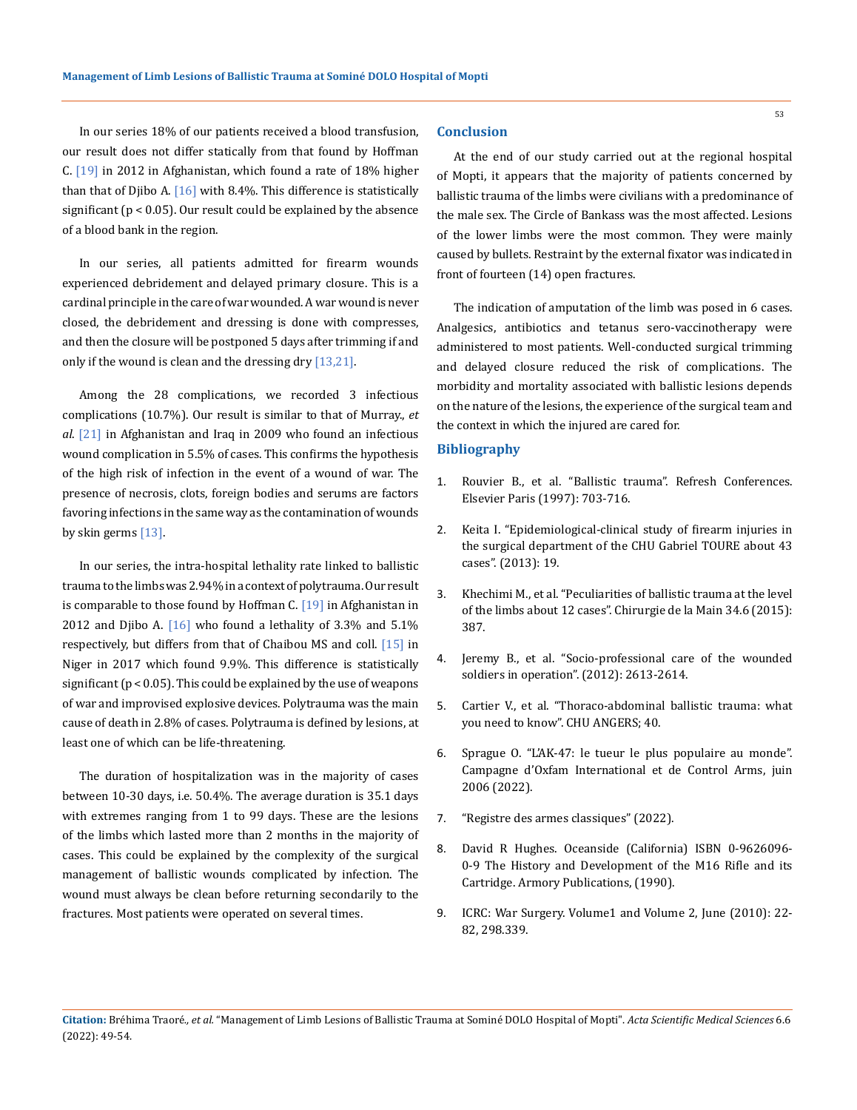In our series 18% of our patients received a blood transfusion, our result does not differ statically from that found by Hoffman C. [19] in 2012 in Afghanistan, which found a rate of 18% higher than that of Djibo A.  $[16]$  with 8.4%. This difference is statistically significant (p < 0.05). Our result could be explained by the absence of a blood bank in the region.

In our series, all patients admitted for firearm wounds experienced debridement and delayed primary closure. This is a cardinal principle in the care of war wounded. A war wound is never closed, the debridement and dressing is done with compresses, and then the closure will be postponed 5 days after trimming if and only if the wound is clean and the dressing dry [13,21].

Among the 28 complications, we recorded 3 infectious complications (10.7%). Our result is similar to that of Murray., *et al*. [21] in Afghanistan and Iraq in 2009 who found an infectious wound complication in 5.5% of cases. This confirms the hypothesis of the high risk of infection in the event of a wound of war. The presence of necrosis, clots, foreign bodies and serums are factors favoring infections in the same way as the contamination of wounds by skin germs [13].

In our series, the intra-hospital lethality rate linked to ballistic trauma to the limbs was 2.94% in a context of polytrauma. Our result is comparable to those found by Hoffman C. [19] in Afghanistan in 2012 and Djibo A.  $[16]$  who found a lethality of 3.3% and 5.1% respectively, but differs from that of Chaibou MS and coll. [15] in Niger in 2017 which found 9.9%. This difference is statistically significant (p < 0.05). This could be explained by the use of weapons of war and improvised explosive devices. Polytrauma was the main cause of death in 2.8% of cases. Polytrauma is defined by lesions, at least one of which can be life-threatening.

The duration of hospitalization was in the majority of cases between 10-30 days, i.e. 50.4%. The average duration is 35.1 days with extremes ranging from 1 to 99 days. These are the lesions of the limbs which lasted more than 2 months in the majority of cases. This could be explained by the complexity of the surgical management of ballistic wounds complicated by infection. The wound must always be clean before returning secondarily to the fractures. Most patients were operated on several times.

### **Conclusion**

At the end of our study carried out at the regional hospital of Mopti, it appears that the majority of patients concerned by ballistic trauma of the limbs were civilians with a predominance of the male sex. The Circle of Bankass was the most affected. Lesions of the lower limbs were the most common. They were mainly caused by bullets. Restraint by the external fixator was indicated in front of fourteen (14) open fractures.

The indication of amputation of the limb was posed in 6 cases. Analgesics, antibiotics and tetanus sero-vaccinotherapy were administered to most patients. Well-conducted surgical trimming and delayed closure reduced the risk of complications. The morbidity and mortality associated with ballistic lesions depends on the nature of the lesions, the experience of the surgical team and the context in which the injured are cared for.

#### **Bibliography**

- 1. Rouvier B., et al. "Ballistic trauma". Refresh Conferences. Elsevier Paris (1997): 703-716.
- 2. Keita I. "Epidemiological-clinical study of firearm injuries in the surgical department of the CHU Gabriel TOURE about 43 cases". (2013): 19.
- 3. Khechimi M., et al. "Peculiarities of ballistic trauma at the level of the limbs about 12 cases". Chirurgie de la Main 34.6 (2015): 387.
- 4. Jeremy B., et al. "Socio-professional care of the wounded soldiers in operation". (2012): 2613-2614.
- 5. Cartier V., et al. "Thoraco-abdominal ballistic trauma: what you need to know". CHU ANGERS; 40.
- 6. Sprague O. "L'AK-47: le tueur le plus populaire au monde". Campagne d'Oxfam International et de Control Arms, juin 2006 (2022).
- 7. "Registre des armes classiques" (2022).
- 8. David R Hughes. Oceanside (California) ISBN 0-9626096- 0-9 The History and Development of the M16 Rifle and its Cartridge. Armory Publications, (1990).
- 9. ICRC: War Surgery. Volume1 and Volume 2, June (2010): 22- 82, 298.339.